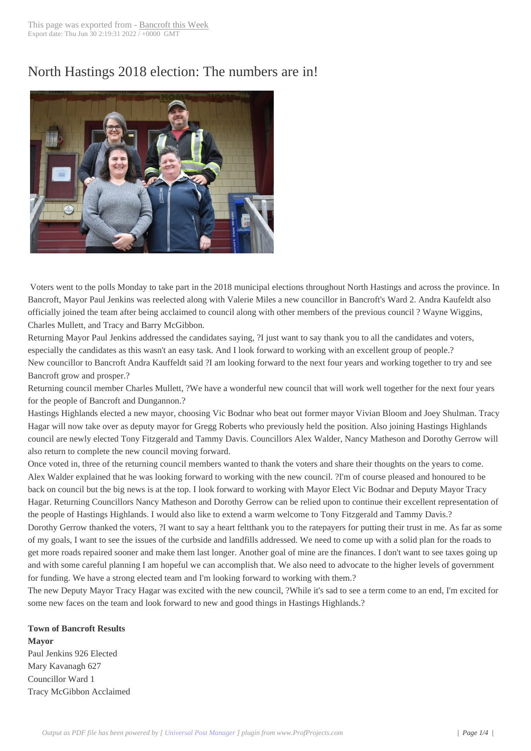# North Hastings 20[18 election: T](http://www.bancroftthisweek.com/?p=9425)he numbers are in!



Voters went to the polls Monday to take part in the 2018 municipal elections throughout North Hastings and across the province. In Bancroft, Mayor Paul Jenkins was reelected along with Valerie Miles a new councillor in Bancroft's Ward 2. Andra Kaufeldt also officially joined the team after being acclaimed to council along with other members of the previous council ? Wayne Wiggins, Charles Mullett, and Tracy and Barry McGibbon.

Returning Mayor Paul Jenkins addressed the candidates saying, ?I just want to say thank you to all the candidates and voters, especially the candidates as this wasn't an easy task. And I look forward to working with an excellent group of people.? New councillor to Bancroft Andra Kauffeldt said ?I am looking forward to the next four years and working together to try and see Bancroft grow and prosper.?

Returning council member Charles Mullett, ?We have a wonderful new council that will work well together for the next four years for the people of Bancroft and Dungannon.?

Hastings Highlands elected a new mayor, choosing Vic Bodnar who beat out former mayor Vivian Bloom and Joey Shulman. Tracy Hagar will now take over as deputy mayor for Gregg Roberts who previously held the position. Also joining Hastings Highlands council are newly elected Tony Fitzgerald and Tammy Davis. Councillors Alex Walder, Nancy Matheson and Dorothy Gerrow will also return to complete the new council moving forward.

Once voted in, three of the returning council members wanted to thank the voters and share their thoughts on the years to come. Alex Walder explained that he was looking forward to working with the new council. ?I'm of course pleased and honoured to be back on council but the big news is at the top. I look forward to working with Mayor Elect Vic Bodnar and Deputy Mayor Tracy Hagar. Returning Councillors Nancy Matheson and Dorothy Gerrow can be relied upon to continue their excellent representation of the people of Hastings Highlands. I would also like to extend a warm welcome to Tony Fitzgerald and Tammy Davis.?

Dorothy Gerrow thanked the voters, ?I want to say a heart feltthank you to the ratepayers for putting their trust in me. As far as some of my goals, I want to see the issues of the curbside and landfills addressed. We need to come up with a solid plan for the roads to get more roads repaired sooner and make them last longer. Another goal of mine are the finances. I don't want to see taxes going up and with some careful planning I am hopeful we can accomplish that. We also need to advocate to the higher levels of government for funding. We have a strong elected team and I'm looking forward to working with them.?

The new Deputy Mayor Tracy Hagar was excited with the new council, ?While it's sad to see a term come to an end, I'm excited for some new faces on the team and look forward to new and good things in Hastings Highlands.?

### **Town of Bancroft Results**

**Mayor** Paul Jenkins 926 Elected Mary Kavanagh 627 Councillor Ward 1 Tracy McGibbon Acclaimed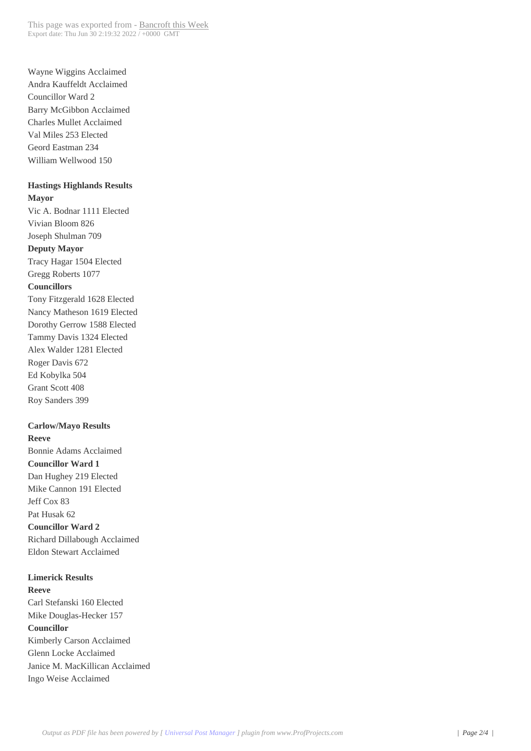Wayne Wiggins Acclaimed Andra Kauffeldt Acclaimed Councillor Ward 2 Barry McGibbon Acclaimed Charles Mullet Acclaimed Val Miles 253 Elected Geord Eastman 234 William Wellwood 150

#### **Hastings Highlands Results Mayor**

Vic A. Bodnar 1111 Elected Vivian Bloom 826 Joseph Shulman 709 **Deputy Mayor** Tracy Hagar 1504 Elected Gregg Roberts 1077 **Councillors** Tony Fitzgerald 1628 Elected Nancy Matheson 1619 Elected Dorothy Gerrow 1588 Elected Tammy Davis 1324 Elected Alex Walder 1281 Elected Roger Davis 672 Ed Kobylka 504 Grant Scott 408 Roy Sanders 399

#### **Carlow/Mayo Results**

**Reeve** Bonnie Adams Acclaimed **Councillor Ward 1** Dan Hughey 219 Elected Mike Cannon 191 Elected Jeff Cox 83 Pat Husak 62 **Councillor Ward 2** Richard Dillabough Acclaimed Eldon Stewart Acclaimed

**Limerick Results Reeve** Carl Stefanski 160 Elected Mike Douglas-Hecker 157 **Councillor** Kimberly Carson Acclaimed Glenn Locke Acclaimed Janice M. MacKillican Acclaimed Ingo Weise Acclaimed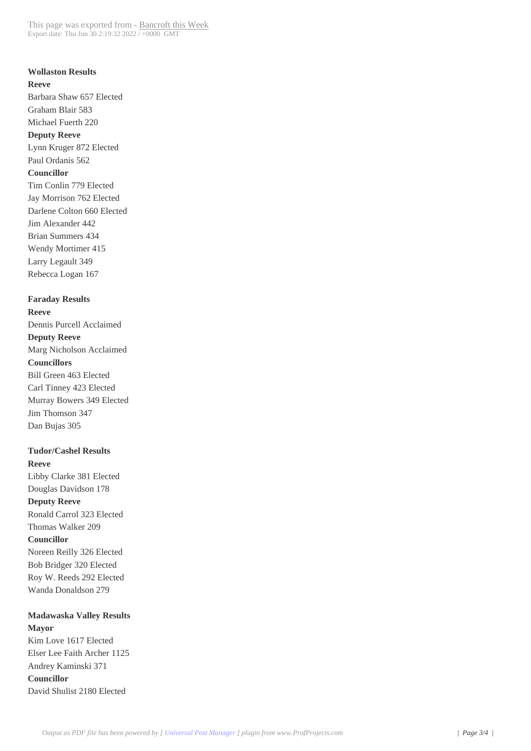## **Wollaston Results Reeve** Barbara Shaw 657 Elected Graham Blair 583 Michael Fuerth 220 **Deputy Reeve** Lynn Kruger 872 Elected Paul Ordanis 562 **Councillor** Tim Conlin 779 Elected Jay Morrison 762 Elected Darlene Colton 660 Elected Jim Alexander 442 Brian Summers 434 Wendy Mortimer 415 Larry Legault 349 Rebecca Logan 167

**Faraday Results**

**Reeve** Dennis Purcell Acclaimed **Deputy Reeve** Marg Nicholson Acclaimed **Councillors** Bill Green 463 Elected Carl Tinney 423 Elected Murray Bowers 349 Elected Jim Thomson 347 Dan Bujas 305

**Tudor/Cashel Results**

**Reeve** Libby Clarke 381 Elected Douglas Davidson 178 **Deputy Reeve** Ronald Carrol 323 Elected Thomas Walker 209 **Councillor** Noreen Reilly 326 Elected Bob Bridger 320 Elected Roy W. Reeds 292 Elected Wanda Donaldson 279

#### **Madawaska Valley Results Mayor**

Kim Love 1617 Elected Elser Lee Faith Archer 1125 Andrey Kaminski 371 **Councillor** David Shulist 2180 Elected